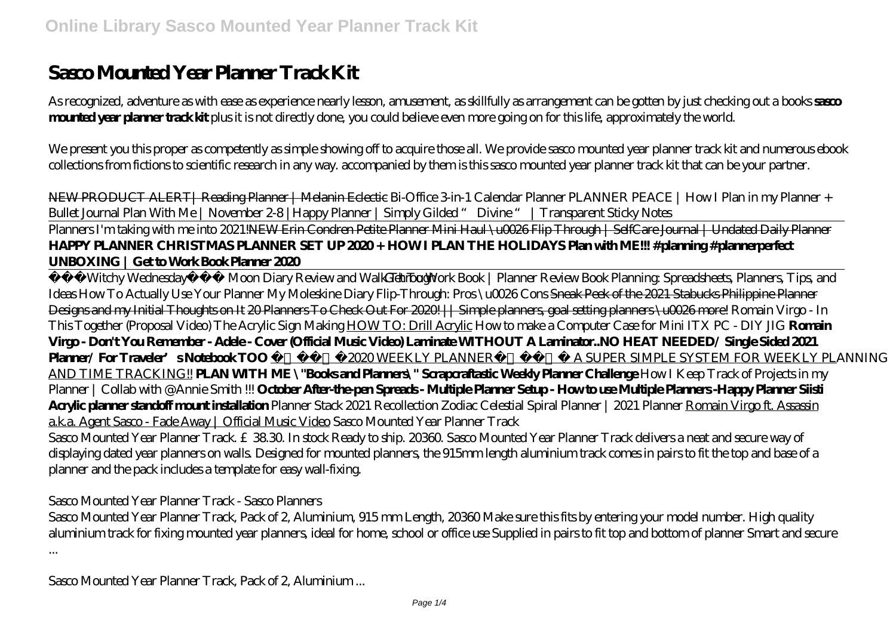# **Sasco Mounted Year Planner Track Kit**

As recognized, adventure as with ease as experience nearly lesson, amusement, as skillfully as arrangement can be gotten by just checking out a books **sasco mounted year planner track kit** plus it is not directly done, you could believe even more going on for this life, approximately the world.

We present you this proper as competently as simple showing off to acquire those all. We provide sasco mounted year planner track kit and numerous ebook collections from fictions to scientific research in any way. accompanied by them is this sasco mounted year planner track kit that can be your partner.

NEW PRODUCT ALERT| Reading Planner | Melanin Eclectic Bi-Office 3-in-1 Calendar Planner *PLANNER PEACE | How I Plan in my Planner + Bullet Journal Plan With Me | November 2-8 |Happy Planner | Simply Gilded " Divine " | Transparent Sticky Notes*

Planners I'm taking with me into 2021!<del>NEW Erin Condren Petite Planner Mini Haul \u0026 Flip Through | SelfCare Journal | Undated Daily Planner</del> **HAPPY PLANNER CHRISTMAS PLANNER SET UP 2020 + HOW I PLAN THE HOLIDAYS Plan with ME!!! #planning #plannerperfect UNBOXING | Get to Work Book Planner 2020**

Witchy Wednesday Moon Diary Review and Walk Through *To Work Book | Planner Review Book Planning: Spreadsheets, Planners, Tips, and Ideas How To Actually Use Your Planner* My Moleskine Diary Flip-Through: Pros \u0026 Cons Sneak Peek of the 2021 Stabucks Philippine Planner Designs and my Initial Thoughts on It 20 Planners To Check Out For 2020. || Simple planners, goal setting planners \u0026 more! Romain Virgo - In This Together (Proposal Video) The Acrylic Sign Making HOW TO: Drill Acrylic *How to make a Computer Case for Mini ITX PC - DIY JIG* **Romain Virgo - Don't You Remember - Adele - Cover (Official Music Video) Laminate WITHOUT A Laminator..NO HEAT NEEDED/ Single Sided 2021 Planner/ For Traveler's Notebook TOO** 2020 WEEKLY PLANNER A SUPER SIMPLE SYSTEM FOR WEEKLY PLANNING AND TIME TRACKING!! **PLAN WITH ME \"Books and Planners\" Scrapcraftastic Weekly Planner Challenge** How I Keep Track of Projects in my Planner | Collab with @Annie Smith !!! **October After-the-pen Spreads - Multiple Planner Setup - How to use Multiple Planners -Happy Planner Siisti Acrylic planner standoff mount installation** *Planner Stack 2021 Recollection Zodiac Celestial Spiral Planner | 2021 Planner* Romain Virgo ft. Assassin a.k.a. Agent Sasco - Fade Away | Official Music Video *Sasco Mounted Year Planner Track* Sasco Mounted Year Planner Track. £38.30. In stock Ready to ship. 20360. Sasco Mounted Year Planner Track delivers a neat and secure way of displaying dated year planners on walls. Designed for mounted planners, the 915mm length aluminium track comes in pairs to fit the top and base of a planner and the pack includes a template for easy wall-fixing.

#### *Sasco Mounted Year Planner Track - Sasco Planners*

Sasco Mounted Year Planner Track, Pack of 2, Aluminium, 915 mm Length, 20360 Make sure this fits by entering your model number. High quality aluminium track for fixing mounted year planners, ideal for home, school or office use Supplied in pairs to fit top and bottom of planner Smart and secure ...

*Sasco Mounted Year Planner Track, Pack of 2, Aluminium ...*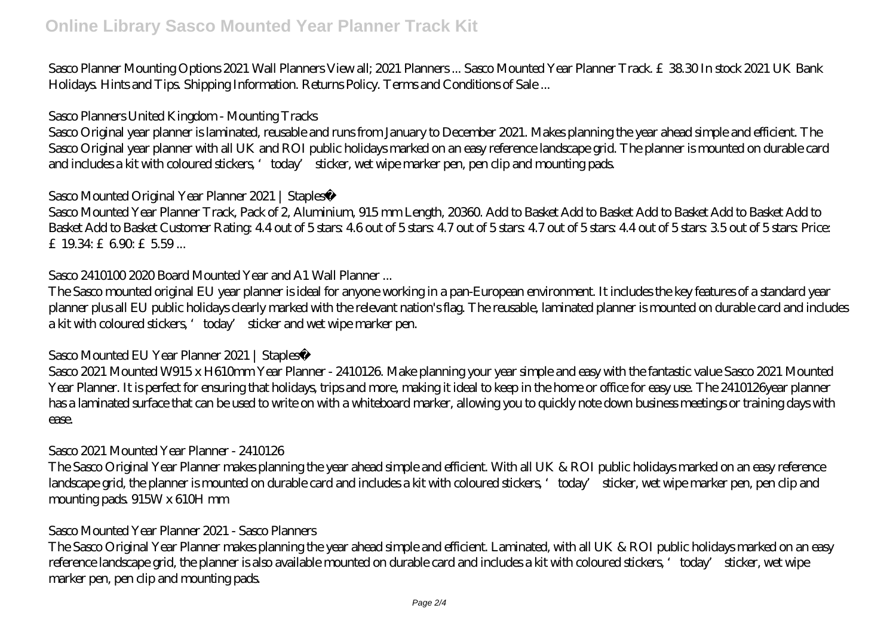Sasco Planner Mounting Options 2021 Wall Planners View all; 2021 Planners ... Sasco Mounted Year Planner Track. £38.30 In stock 2021 UK Bank Holidays. Hints and Tips. Shipping Information. Returns Policy. Terms and Conditions of Sale ...

#### *Sasco Planners United Kingdom - Mounting Tracks*

Sasco Original year planner is laminated, reusable and runs from January to December 2021. Makes planning the year ahead simple and efficient. The Sasco Original year planner with all UK and ROI public holidays marked on an easy reference landscape grid. The planner is mounted on durable card and includes a kit with coloured stickers, 'today' sticker, wet wipe marker pen, pen clip and mounting pads.

#### *Sasco Mounted Original Year Planner 2021 | Staples®*

Sasco Mounted Year Planner Track, Pack of 2, Aluminium, 915 mm Length, 20360. Add to Basket Add to Basket Add to Basket Add to Basket Add to Basket Add to Basket Add to Basket Customer Rating: 44 out of 5 stars: 4.6 out of 5 stars: 4.7 out of 5 stars: 4.4 out of 5 stars: 3.5 out of 5 stars: Price: £ 1934: £690: £559...

#### *Sasco 2410100 2020 Board Mounted Year and A1 Wall Planner ...*

The Sasco mounted original EU year planner is ideal for anyone working in a pan-European environment. It includes the key features of a standard year planner plus all EU public holidays clearly marked with the relevant nation's flag. The reusable, laminated planner is mounted on durable card and includes a kit with coloured stickers, 'today' sticker and wet wipe marker pen.

#### *Sasco Mounted EU Year Planner 2021 | Staples®*

Sasco 2021 Mounted W915 x H610mm Year Planner - 2410126. Make planning your year simple and easy with the fantastic value Sasco 2021 Mounted Year Planner. It is perfect for ensuring that holidays, trips and more, making it ideal to keep in the home or office for easy use. The 2410126year planner has a laminated surface that can be used to write on with a whiteboard marker, allowing you to quickly note down business meetings or training days with ease.

#### *Sasco 2021 Mounted Year Planner - 2410126*

The Sasco Original Year Planner makes planning the year ahead simple and efficient. With all UK & ROI public holidays marked on an easy reference landscape grid, the planner is mounted on durable card and includes a kit with coloured stickers, 'today' sticker, wet wipe marker pen, pen clip and mounting pads. 915W x 610H mm

#### *Sasco Mounted Year Planner 2021 - Sasco Planners*

The Sasco Original Year Planner makes planning the year ahead simple and efficient. Laminated, with all UK & ROI public holidays marked on an easy reference landscape grid, the planner is also available mounted on durable card and includes a kit with coloured stickers, 'today' sticker, wet wipe marker pen, pen clip and mounting pads.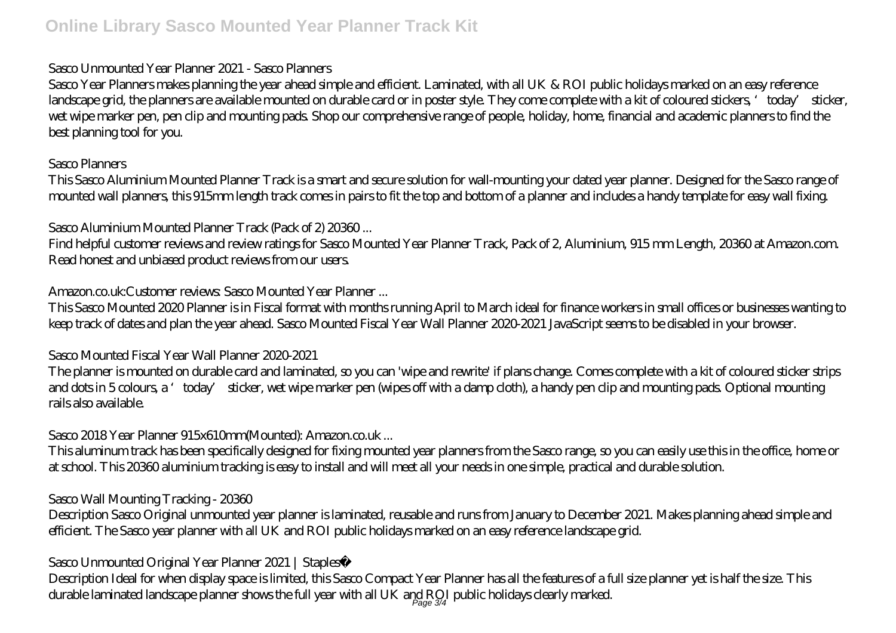## *Sasco Unmounted Year Planner 2021 - Sasco Planners*

Sasco Year Planners makes planning the year ahead simple and efficient. Laminated, with all UK & ROI public holidays marked on an easy reference landscape grid, the planners are available mounted on durable card or in poster style. They come complete with a kit of coloured stickers, 'today' sticker, wet wipe marker pen, pen clip and mounting pads. Shop our comprehensive range of people, holiday, home, financial and academic planners to find the best planning tool for you.

#### *Sasco Planners*

This Sasco Aluminium Mounted Planner Track is a smart and secure solution for wall-mounting your dated year planner. Designed for the Sasco range of mounted wall planners, this 915mm length track comes in pairs to fit the top and bottom of a planner and includes a handy template for easy wall fixing.

## *Sasco Aluminium Mounted Planner Track (Pack of 2) 20360 ...*

Find helpful customer reviews and review ratings for Sasco Mounted Year Planner Track, Pack of 2, Aluminium, 915 mm Length, 20360 at Amazon.com. Read honest and unbiased product reviews from our users.

# *Amazon.co.uk:Customer reviews: Sasco Mounted Year Planner ...*

This Sasco Mounted 2020 Planner is in Fiscal format with months running April to March ideal for finance workers in small offices or businesses wanting to keep track of dates and plan the year ahead. Sasco Mounted Fiscal Year Wall Planner 2020-2021 JavaScript seems to be disabled in your browser.

## *Sasco Mounted Fiscal Year Wall Planner 2020-2021*

The planner is mounted on durable card and laminated, so you can 'wipe and rewrite' if plans change. Comes complete with a kit of coloured sticker strips and dots in 5 colours, a 'today' sticker, wet wipe marker pen (wipes off with a damp cloth), a handy pen clip and mounting pads. Optional mounting rails also available.

# *Sasco 2018 Year Planner 915x610mm(Mounted): Amazon.co.uk ...*

This aluminum track has been specifically designed for fixing mounted year planners from the Sasco range, so you can easily use this in the office, home or at school. This 20360 aluminium tracking is easy to install and will meet all your needs in one simple, practical and durable solution.

## *Sasco Wall Mounting Tracking - 20360*

Description Sasco Original unmounted year planner is laminated, reusable and runs from January to December 2021. Makes planning ahead simple and efficient. The Sasco year planner with all UK and ROI public holidays marked on an easy reference landscape grid.

# *Sasco Unmounted Original Year Planner 2021 | Staples®*

Description Ideal for when display space is limited, this Sasco Compact Year Planner has all the features of a full size planner yet is half the size. This durable laminated landscape planner shows the full year with all UK and RQI public holidays clearly marked.